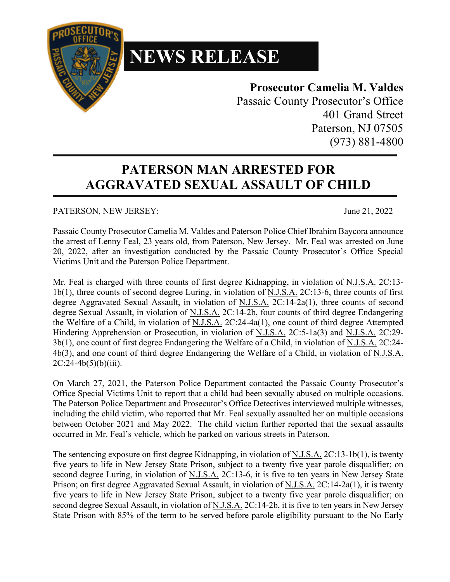

## **NEWS RELEASE**

## **Prosecutor Camelia M. Valdes**

Passaic County Prosecutor's Office 401 Grand Street Paterson, NJ 07505 (973) 881-4800

## **PATERSON MAN ARRESTED FOR AGGRAVATED SEXUAL ASSAULT OF CHILD**

PATERSON, NEW JERSEY: June 21, 2022

Passaic County Prosecutor Camelia M. Valdes and Paterson Police Chief Ibrahim Baycora announce the arrest of Lenny Feal, 23 years old, from Paterson, New Jersey. Mr. Feal was arrested on June 20, 2022, after an investigation conducted by the Passaic County Prosecutor's Office Special Victims Unit and the Paterson Police Department.

Mr. Feal is charged with three counts of first degree Kidnapping, in violation of N.J.S.A. 2C:13-1b(1), three counts of second degree Luring, in violation of N.J.S.A. 2C:13-6, three counts of first degree Aggravated Sexual Assault, in violation of N.J.S.A. 2C:14-2a(1), three counts of second degree Sexual Assault, in violation of N.J.S.A. 2C:14-2b, four counts of third degree Endangering the Welfare of a Child, in violation of N.J.S.A. 2C:24-4a(1), one count of third degree Attempted Hindering Apprehension or Prosecution, in violation of N.J.S.A. 2C:5-1a(3) and N.J.S.A. 2C:29- 3b(1), one count of first degree Endangering the Welfare of a Child, in violation of N.J.S.A. 2C:24- 4b(3), and one count of third degree Endangering the Welfare of a Child, in violation of N.J.S.A.  $2C:24-4b(5)(b)(iii)$ .

On March 27, 2021, the Paterson Police Department contacted the Passaic County Prosecutor's Office Special Victims Unit to report that a child had been sexually abused on multiple occasions. The Paterson Police Department and Prosecutor's Office Detectives interviewed multiple witnesses, including the child victim, who reported that Mr. Feal sexually assaulted her on multiple occasions between October 2021 and May 2022. The child victim further reported that the sexual assaults occurred in Mr. Feal's vehicle, which he parked on various streets in Paterson.

The sentencing exposure on first degree Kidnapping, in violation of N.J.S.A. 2C:13-1b(1), is twenty five years to life in New Jersey State Prison, subject to a twenty five year parole disqualifier; on second degree Luring, in violation of N.J.S.A. 2C:13-6, it is five to ten years in New Jersey State Prison; on first degree Aggravated Sexual Assault, in violation of N.J.S.A. 2C:14-2a(1), it is twenty five years to life in New Jersey State Prison, subject to a twenty five year parole disqualifier; on second degree Sexual Assault, in violation of N.J.S.A. 2C:14-2b, it is five to ten years in New Jersey State Prison with 85% of the term to be served before parole eligibility pursuant to the No Early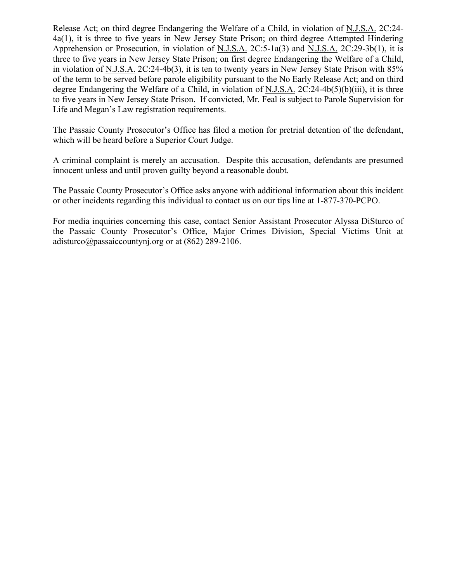Release Act; on third degree Endangering the Welfare of a Child, in violation of N.J.S.A. 2C:24- 4a(1), it is three to five years in New Jersey State Prison; on third degree Attempted Hindering Apprehension or Prosecution, in violation of N.J.S.A. 2C:5-1a(3) and N.J.S.A. 2C:29-3b(1), it is three to five years in New Jersey State Prison; on first degree Endangering the Welfare of a Child, in violation of N.J.S.A. 2C:24-4b(3), it is ten to twenty years in New Jersey State Prison with 85% of the term to be served before parole eligibility pursuant to the No Early Release Act; and on third degree Endangering the Welfare of a Child, in violation of N.J.S.A. 2C:24-4b(5)(b)(iii), it is three to five years in New Jersey State Prison. If convicted, Mr. Feal is subject to Parole Supervision for Life and Megan's Law registration requirements.

The Passaic County Prosecutor's Office has filed a motion for pretrial detention of the defendant, which will be heard before a Superior Court Judge.

A criminal complaint is merely an accusation. Despite this accusation, defendants are presumed innocent unless and until proven guilty beyond a reasonable doubt.

The Passaic County Prosecutor's Office asks anyone with additional information about this incident or other incidents regarding this individual to contact us on our tips line at 1-877-370-PCPO.

For media inquiries concerning this case, contact Senior Assistant Prosecutor Alyssa DiSturco of the Passaic County Prosecutor's Office, Major Crimes Division, Special Victims Unit at adisturco@passaiccountynj.org or at (862) 289-2106.